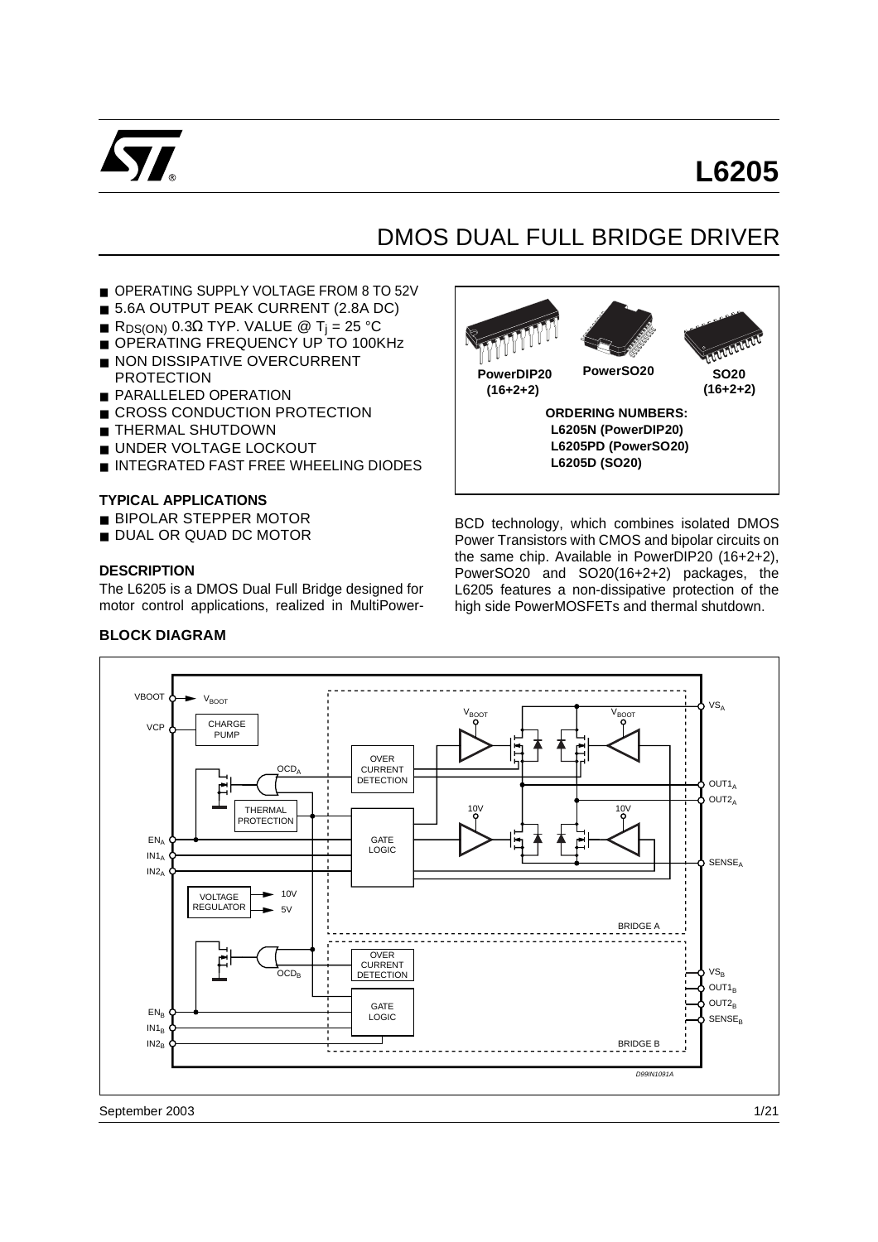

# **L6205**

# DMOS DUAL FULL BRIDGE DRIVER

- OPERATING SUPPLY VOLTAGE FROM 8 TO 52V
- 5.6A OUTPUT PEAK CURRENT (2.8A DC)
- R<sub>DS(ON)</sub> 0.3Ω TYP. VALUE @ T<sub>i</sub> = 25 °C
- OPERATING FREQUENCY UP TO 100KHz
- NON DISSIPATIVE OVERCURRENT **PROTECTION**
- PARALLELED OPERATION
- CROSS CONDUCTION PROTECTION
- THERMAL SHUTDOWN
- UNDER VOLTAGE LOCKOUT
- INTEGRATED FAST FREE WHEELING DIODES

#### **TYPICAL APPLICATIONS**

- BIPOLAR STEPPER MOTOR
- DUAL OR QUAD DC MOTOR

#### **DESCRIPTION**

The L6205 is a DMOS Dual Full Bridge designed for motor control applications, realized in MultiPower-



BCD technology, which combines isolated DMOS Power Transistors with CMOS and bipolar circuits on the same chip. Available in PowerDIP20 (16+2+2), PowerSO20 and SO20(16+2+2) packages, the L6205 features a non-dissipative protection of the high side PowerMOSFETs and thermal shutdown.



September 2003

#### **BLOCK DIAGRAM**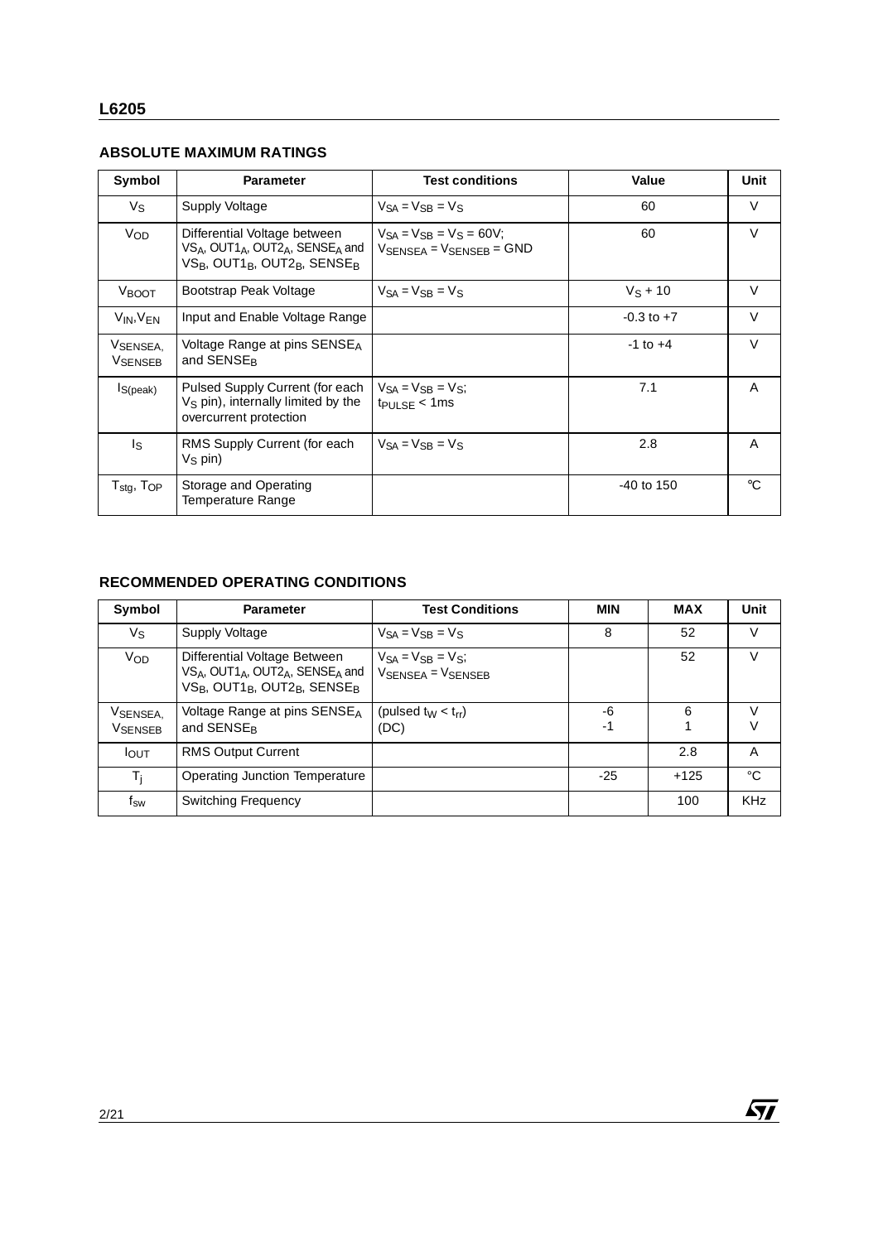## **ABSOLUTE MAXIMUM RATINGS**

| Symbol                                                   | <b>Parameter</b>                                                                                                                                                                                 | <b>Test conditions</b>                                                                  | Value          | Unit        |
|----------------------------------------------------------|--------------------------------------------------------------------------------------------------------------------------------------------------------------------------------------------------|-----------------------------------------------------------------------------------------|----------------|-------------|
| $V_{\rm S}$                                              | Supply Voltage                                                                                                                                                                                   | $V_{SA} = V_{SB} = V_S$                                                                 | 60             | V           |
| <b>V<sub>OD</sub></b>                                    | Differential Voltage between<br>VS <sub>A</sub> , OUT1 <sub>A</sub> , OUT2 <sub>A</sub> , SENSE <sub>A</sub> and<br>VS <sub>B</sub> , OUT1 <sub>B</sub> , OUT2 <sub>B</sub> , SENSE <sub>B</sub> | $V_{SA} = V_{SB} = V_S = 60V$ ;<br>$V_{\text{SFNSFA}} = V_{\text{SFNSFB}} = \text{GND}$ | 60             | $\vee$      |
| <b>VBOOT</b>                                             | Bootstrap Peak Voltage                                                                                                                                                                           | $V_{SA} = V_{SB} = V_S$                                                                 | $V_S + 10$     | $\vee$      |
| $V_{IN}$ , $V_{FN}$                                      | Input and Enable Voltage Range                                                                                                                                                                   |                                                                                         | $-0.3$ to $+7$ | $\vee$      |
| VSENSEA.<br><b>VSENSEB</b>                               | Voltage Range at pins SENSE <sub>A</sub><br>and SENSE <sub>R</sub>                                                                                                                               |                                                                                         | $-1$ to $+4$   | $\vee$      |
| Is(peak)                                                 | Pulsed Supply Current (for each<br>$VS$ pin), internally limited by the<br>overcurrent protection                                                                                                | $V_{SA} = V_{SB} = V_{S}$ ;<br>$tp_{ULSE}$ < 1ms                                        | 7.1            | A           |
| Is                                                       | RMS Supply Current (for each<br>$V_S$ pin)                                                                                                                                                       | $V_{SA} = V_{SB} = V_S$                                                                 | 2.8            | A           |
| ${\mathsf T}_{\textsf{stg}},\,{\mathsf T}_{\textsf{OP}}$ | Storage and Operating<br>Temperature Range                                                                                                                                                       |                                                                                         | $-40$ to 150   | $^{\circ}C$ |

<u> 1989 - Johann Stoff, fransk politik (d. 1989)</u>

### **RECOMMENDED OPERATING CONDITIONS**

| Symbol                      | <b>Parameter</b>                                                                                                                                                                                 | <b>Test Conditions</b>                         | <b>MIN</b> | <b>MAX</b> | Unit       |
|-----------------------------|--------------------------------------------------------------------------------------------------------------------------------------------------------------------------------------------------|------------------------------------------------|------------|------------|------------|
| Vs                          | Supply Voltage                                                                                                                                                                                   | $V_{SA} = V_{SR} = V_S$                        | 8          | 52         | V          |
| Vop                         | Differential Voltage Between<br>VS <sub>A</sub> , OUT1 <sub>A</sub> , OUT2 <sub>A</sub> , SENSE <sub>A</sub> and<br>VS <sub>B</sub> , OUT1 <sub>B</sub> , OUT2 <sub>B</sub> , SENSE <sub>B</sub> | $V_{SA} = V_{SB} = V_{S}$<br>VSENSEA = VSENSEB |            | 52         | V          |
| VSENSEA,<br><b>V</b> SENSEB | Voltage Range at pins SENSE <sub>A</sub><br>and SENSE <sub>R</sub>                                                                                                                               | (pulsed $t_W < t_{rr}$ )<br>(DC)               | -6<br>$-1$ | 6          | V<br>V     |
| <b>I</b> OUT                | <b>RMS Output Current</b>                                                                                                                                                                        |                                                |            | 2.8        | A          |
| $T_i$                       | Operating Junction Temperature                                                                                                                                                                   |                                                | -25        | $+125$     | °C         |
| f <sub>sw</sub>             | <b>Switching Frequency</b>                                                                                                                                                                       |                                                |            | 100        | <b>KHz</b> |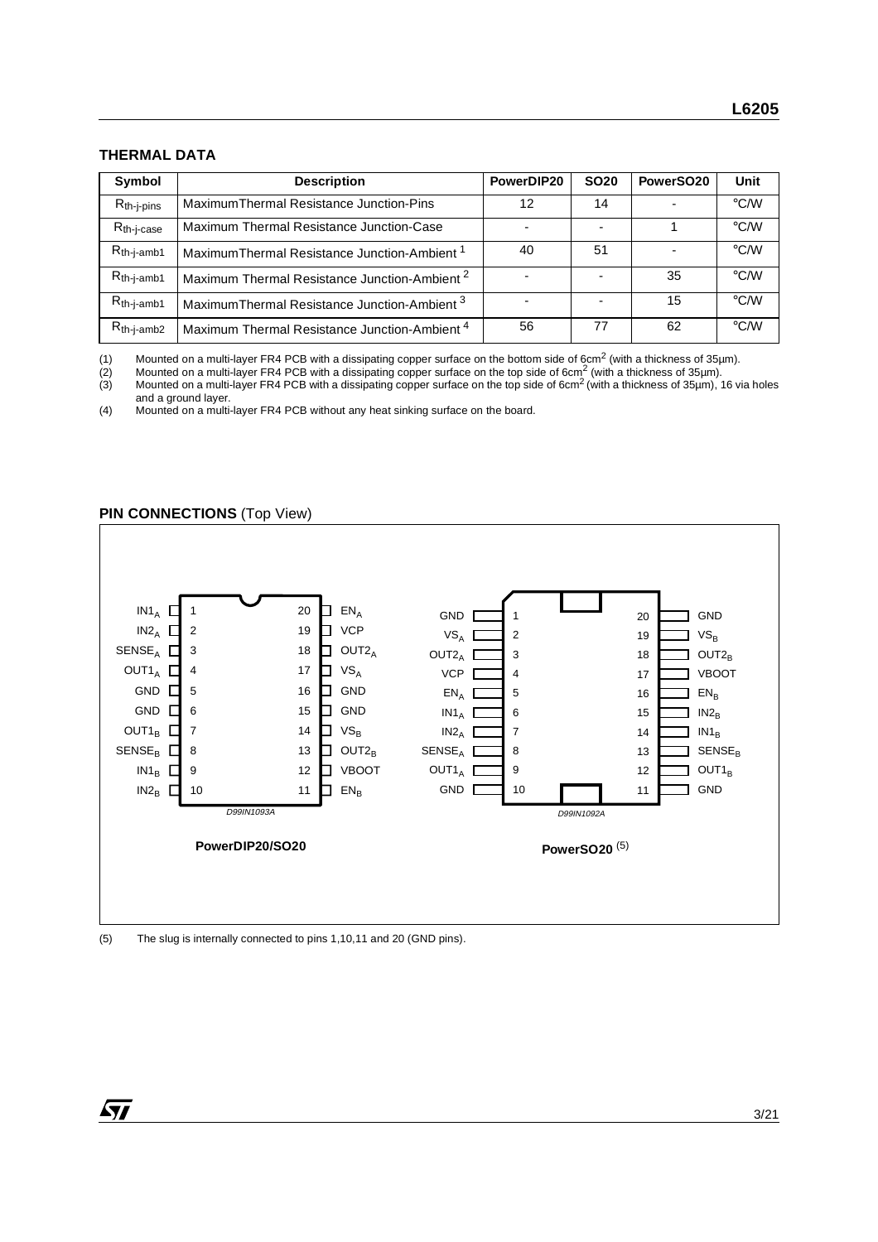## **THERMAL DATA**

| Symbol          | <b>Description</b>                                       | PowerDIP20 | <b>SO20</b> | PowerSO <sub>20</sub> | Unit               |
|-----------------|----------------------------------------------------------|------------|-------------|-----------------------|--------------------|
| $R_{th-j-pins}$ | Maximum Thermal Resistance Junction-Pins                 | 12         | 14          |                       | $\rm ^{\circ}$ C/W |
| $R_{th-i-case}$ | Maximum Thermal Resistance Junction-Case                 |            |             |                       | $\rm ^{\circ}$ C/W |
| $R_{th-j-amb1}$ | Maximum Thermal Resistance Junction-Ambient <sup>1</sup> | 40         | 51          |                       | $\rm ^{\circ}$ C/W |
| $R_{th-j-amb1}$ | Maximum Thermal Resistance Junction-Ambient <sup>2</sup> |            |             | 35                    | $\rm ^{\circ}$ C/W |
| $R_{th-j-amb1}$ | Maximum Thermal Resistance Junction-Ambient <sup>3</sup> |            |             | 15                    | $\rm ^{\circ}$ C/W |
| $R_{th-j-amb2}$ | Maximum Thermal Resistance Junction-Ambient <sup>4</sup> | 56         | 77          | 62                    | $\rm ^{\circ}$ C/W |

(1) Mounted on a multi-layer FR4 PCB with a dissipating copper surface on the bottom side of 6cm<sup>2</sup> (with a thickness of 35µm).<br>(2) Mounted on a multi-layer FR4 PCB with a dissipating copper surface on the top side of 6cm

(2) Mounted on a multi-layer FR4 PCB with a dissipating copper surface on the top side of 6cm<sup>2</sup> (with a thickness of 35µm).

(3) Mounted on a multi-layer FR4 PCB with a dissipating copper surface on the top side of 6cm<sup>2</sup> (with a thickness of 35µm), 16 via holes and a ground layer.

(4) Mounted on a multi-layer FR4 PCB without any heat sinking surface on the board.

#### **PIN CONNECTIONS (Top View)**



#### (5) The slug is internally connected to pins 1,10,11 and 20 (GND pins).

*ST*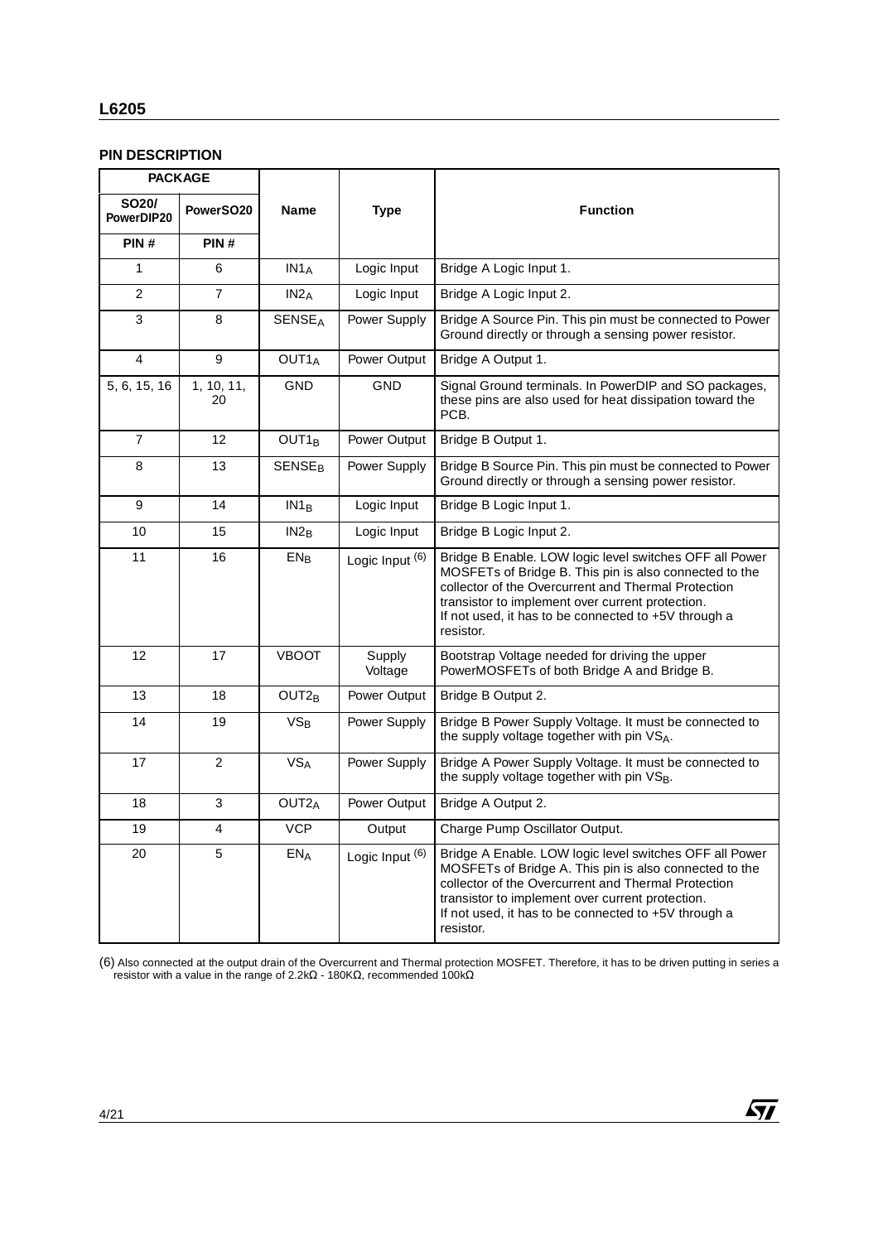### **L6205**

## **PIN DESCRIPTION**

|                                  | <b>PACKAGE</b>   |                          |                            |                                                                                                                                                                                                                                                                                                   |
|----------------------------------|------------------|--------------------------|----------------------------|---------------------------------------------------------------------------------------------------------------------------------------------------------------------------------------------------------------------------------------------------------------------------------------------------|
| SO <sub>20</sub> /<br>PowerDIP20 | PowerSO20        | Name                     | <b>Type</b>                | <b>Function</b>                                                                                                                                                                                                                                                                                   |
| PIN#                             | PIN#             |                          |                            |                                                                                                                                                                                                                                                                                                   |
| 1                                | 6                | IN1A                     | Logic Input                | Bridge A Logic Input 1.                                                                                                                                                                                                                                                                           |
| $\overline{2}$                   | $\overline{7}$   | IN2 <sub>A</sub>         | Logic Input                | Bridge A Logic Input 2.                                                                                                                                                                                                                                                                           |
| 3                                | 8                | <b>SENSEA</b>            | Power Supply               | Bridge A Source Pin. This pin must be connected to Power<br>Ground directly or through a sensing power resistor.                                                                                                                                                                                  |
| $\overline{4}$                   | 9                | OUT <sub>1</sub>         | Power Output               | Bridge A Output 1.                                                                                                                                                                                                                                                                                |
| 5, 6, 15, 16                     | 1, 10, 11,<br>20 | <b>GND</b>               | <b>GND</b>                 | Signal Ground terminals. In PowerDIP and SO packages,<br>these pins are also used for heat dissipation toward the<br>PCB.                                                                                                                                                                         |
| $\overline{7}$                   | 12               | OUT <sub>1B</sub>        | Power Output               | Bridge B Output 1.                                                                                                                                                                                                                                                                                |
| 8                                | 13               | <b>SENSE<sub>B</sub></b> | Power Supply               | Bridge B Source Pin. This pin must be connected to Power<br>Ground directly or through a sensing power resistor.                                                                                                                                                                                  |
| 9                                | 14               | IN1 <sub>B</sub>         | Logic Input                | Bridge B Logic Input 1.                                                                                                                                                                                                                                                                           |
| 10                               | 15               | IN2 <sub>B</sub>         | Logic Input                | Bridge B Logic Input 2.                                                                                                                                                                                                                                                                           |
| 11                               | 16               | $EN_B$                   | Logic Input (6)            | Bridge B Enable. LOW logic level switches OFF all Power<br>MOSFETs of Bridge B. This pin is also connected to the<br>collector of the Overcurrent and Thermal Protection<br>transistor to implement over current protection.<br>If not used, it has to be connected to +5V through a<br>resistor. |
| 12                               | 17               | <b>VBOOT</b>             | Supply<br>Voltage          | Bootstrap Voltage needed for driving the upper<br>PowerMOSFETs of both Bridge A and Bridge B.                                                                                                                                                                                                     |
| 13                               | 18               | OUT <sub>2B</sub>        | Power Output               | Bridge B Output 2.                                                                                                                                                                                                                                                                                |
| 14                               | 19               | $VS_B$                   | Power Supply               | Bridge B Power Supply Voltage. It must be connected to<br>the supply voltage together with pin VSA.                                                                                                                                                                                               |
| 17                               | $\overline{2}$   | <b>VSA</b>               | Power Supply               | Bridge A Power Supply Voltage. It must be connected to<br>the supply voltage together with pin VSB.                                                                                                                                                                                               |
| 18                               | 3                | OUT <sub>2</sub> A       | Power Output               | Bridge A Output 2.                                                                                                                                                                                                                                                                                |
| 19                               | 4                | <b>VCP</b>               | Output                     | Charge Pump Oscillator Output.                                                                                                                                                                                                                                                                    |
| 20                               | 5                | EN <sub>A</sub>          | Logic Input <sup>(6)</sup> | Bridge A Enable. LOW logic level switches OFF all Power<br>MOSFETs of Bridge A. This pin is also connected to the<br>collector of the Overcurrent and Thermal Protection<br>transistor to implement over current protection.<br>If not used, it has to be connected to +5V through a<br>resistor. |

(6) Also connected at the output drain of the Overcurrent and Thermal protection MOSFET. Therefore, it has to be driven putting in series a resistor with a value in the range of 2.2kΩ - 180KΩ, recommended 100kΩ

 $\sqrt{M}$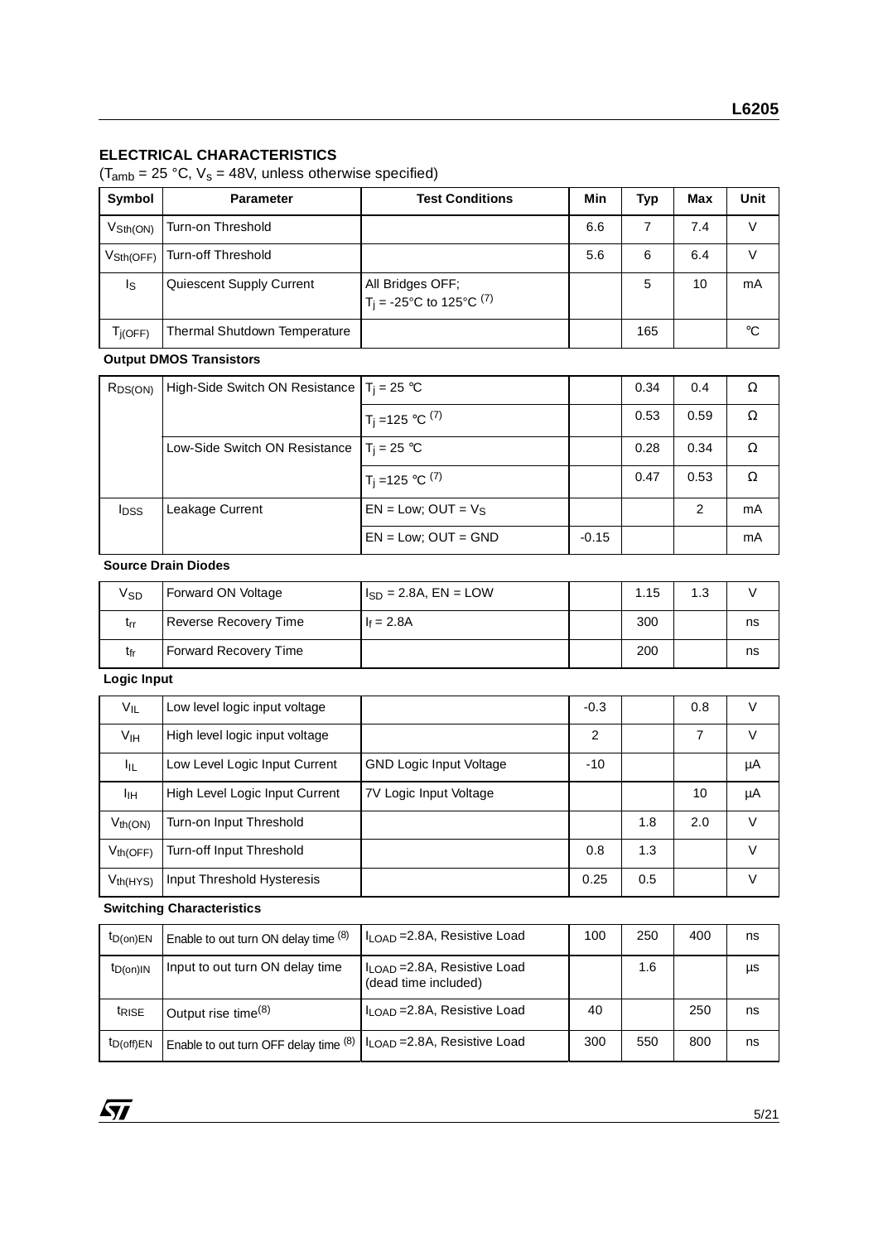## **ELECTRICAL CHARACTERISTICS**

 $(T_{amb} = 25 \text{ °C}, V_s = 48V,$  unless otherwise specified)

| Symbol                       | <b>Parameter</b>                    | <b>Test Conditions</b>                                       | Min | Typ | Max | Unit        |
|------------------------------|-------------------------------------|--------------------------------------------------------------|-----|-----|-----|-------------|
| $V\mathrm{Sth}(\mathrm{ON})$ | Turn-on Threshold                   |                                                              | 6.6 |     | 7.4 | V           |
| $V\text{Sth(OFF)}$           | Turn-off Threshold                  |                                                              | 5.6 | 6   | 6.4 | V           |
| Is.                          | Quiescent Supply Current            | All Bridges OFF;<br>T <sub>i</sub> = -25°C to 125°C $^{(7)}$ |     | 5   | 10  | mA          |
| T <sub>i(OFF)</sub>          | <b>Thermal Shutdown Temperature</b> |                                                              |     | 165 |     | $^{\circ}C$ |

## **Output DMOS Transistors**

| $R_{DS(ON)}$            | High-Side Switch ON Resistance $T_i = 25$ °C |                                |         | 0.34 | 0.4  | Ω  |
|-------------------------|----------------------------------------------|--------------------------------|---------|------|------|----|
|                         |                                              | $T_j = 125 °C^{(7)}$           |         | 0.53 | 0.59 | Ω  |
|                         | Low-Side Switch ON Resistance                | $T_i = 25 °C$                  |         | 0.28 | 0.34 | Ω  |
|                         |                                              | $1T_j = 125 °C$ <sup>(7)</sup> |         | 0.47 | 0.53 | Ω  |
| <b>I</b> <sub>DSS</sub> | Leakage Current                              | $EN = Low$ ; OUT = $V_S$       |         |      | 2    | mA |
|                         |                                              | $EN = Low$ ; $OUT = GND$       | $-0.15$ |      |      | mA |

## **Source Drain Diodes**

| V <sub>SD</sub> | Forward ON Voltage           | $H_{SD} = 2.8$ A, EN = LOW | 1.15 | 1.3 |    |
|-----------------|------------------------------|----------------------------|------|-----|----|
| trr             | <b>Reverse Recovery Time</b> | $F = 2.8A$                 | 300  |     | ns |
| tfr             | <b>Forward Recovery Time</b> |                            | 200  |     | ns |

## **Logic Input**

| VIL             | Low level logic input voltage  |                                | $-0.3$ |     | 0.8 | V      |
|-----------------|--------------------------------|--------------------------------|--------|-----|-----|--------|
| V <sub>IH</sub> | High level logic input voltage |                                | 2      |     | 7   | v      |
| Ιıμ             | Low Level Logic Input Current  | <b>GND Logic Input Voltage</b> | $-10$  |     |     | μA     |
| Iщ              | High Level Logic Input Current | 7V Logic Input Voltage         |        |     | 10  | μA     |
| $V_{th(ON)}$    | Turn-on Input Threshold        |                                |        | 1.8 | 2.0 | V      |
| $V_{th(OFF)}$   | Turn-off Input Threshold       |                                | 0.8    | 1.3 |     | V      |
| $V_{th(HYS)}$   | Input Threshold Hysteresis     |                                | 0.25   | 0.5 |     | $\vee$ |

#### **Switching Characteristics**

| $t_{D(on)EN}$     | Enable to out turn ON delay time (8)  | l I <sub>I OAD</sub> =2.8A, Resistive Load                       | 100 | 250 | 400 | ns |
|-------------------|---------------------------------------|------------------------------------------------------------------|-----|-----|-----|----|
| $t_{D(0n)IN}$     | Input to out turn ON delay time       | $I_{\text{LOAD}}$ = 2.8A, Resistive Load<br>(dead time included) |     | 1.6 |     | μs |
| <sup>t</sup> RISE | Output rise time <sup>(8)</sup>       | ILOAD = 2.8A, Resistive Load                                     | 40  |     | 250 | ns |
| $t_{D(off)EN}$    | Enable to out turn OFF delay time (8) | I LOAD = 2.8A, Resistive Load                                    | 300 | 550 | 800 | ns |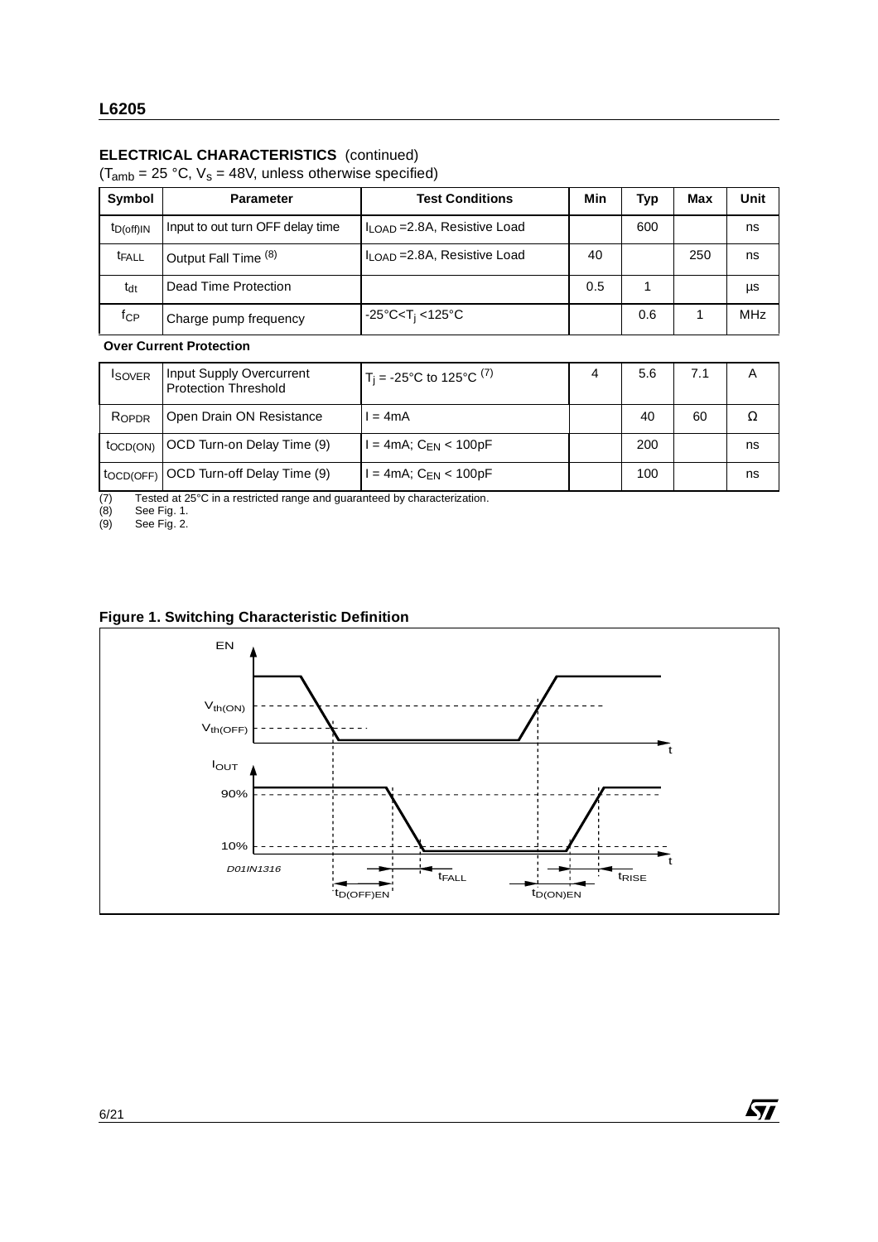## **ELECTRICAL CHARACTERISTICS** (continued)

 $(T<sub>amb</sub> = 25 °C, V<sub>s</sub> = 48V, unless otherwise specified)$ 

| Symbol         | <b>Parameter</b>                 | <b>Test Conditions</b>                   | Min | Typ | Max | Unit       |
|----------------|----------------------------------|------------------------------------------|-----|-----|-----|------------|
| $t_{D(off)IN}$ | Input to out turn OFF delay time | $I_{\text{LOAD}}$ = 2.8A, Resistive Load |     | 600 |     | ns         |
| <b>t</b> FALL  | Output Fall Time <sup>(8)</sup>  | $\ln$ OAD = 2.8A, Resistive Load         | 40  |     | 250 | ns         |
| $t_{dt}$       | Dead Time Protection             |                                          | 0.5 |     |     | μs         |
| fcP            | Charge pump frequency            | -25°C <t<sub>i &lt;125°C</t<sub>         |     | 0.6 |     | <b>MHz</b> |

#### **Over Current Protection**

| <b>ISOVER</b>         | <b>Input Supply Overcurrent</b><br><b>Protection Threshold</b> | $T_i = -25^{\circ}C$ to 125°C <sup>(7)</sup> | 4 | 5.6 | 7.1 | A  |
|-----------------------|----------------------------------------------------------------|----------------------------------------------|---|-----|-----|----|
| ROPDR                 | Open Drain ON Resistance                                       | $= 4mA$                                      |   | 40  | 60  |    |
| toc <sub>D</sub> (ON) | OCD Turn-on Delay Time (9)                                     | l = 4mA; C <sub>EN</sub> < 100pF             |   | 200 |     | ns |
| tocd(OFF)             | OCD Turn-off Delay Time (9)                                    |                                              |   | 100 |     | ns |

(7) Tested at 25°C in a restricted range and guaranteed by characterization.

(8) See Fig. 1.

(9) See Fig. 2.

## **Figure 1. Switching Characteristic Definition**



 $\sqrt{27}$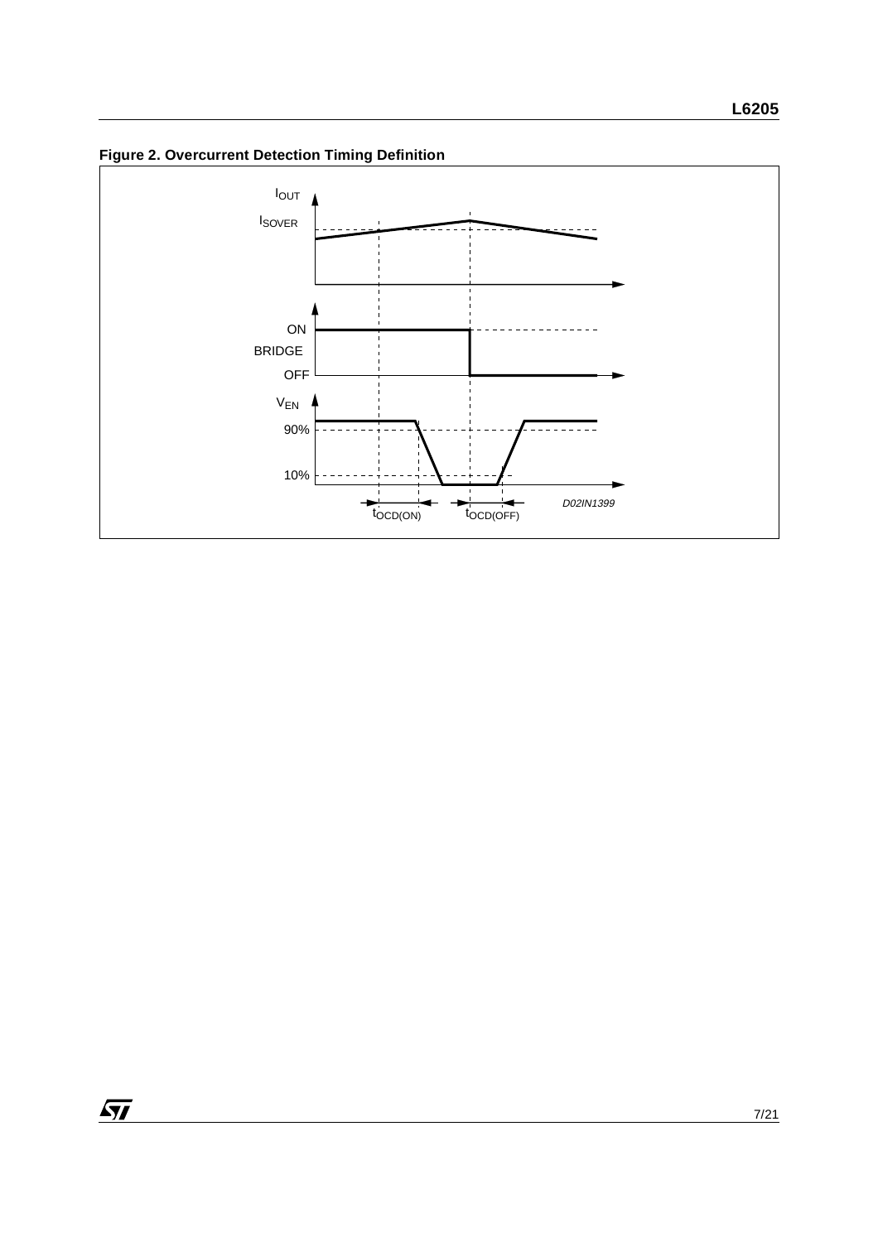**Figure 2. Overcurrent Detection Timing Definition**

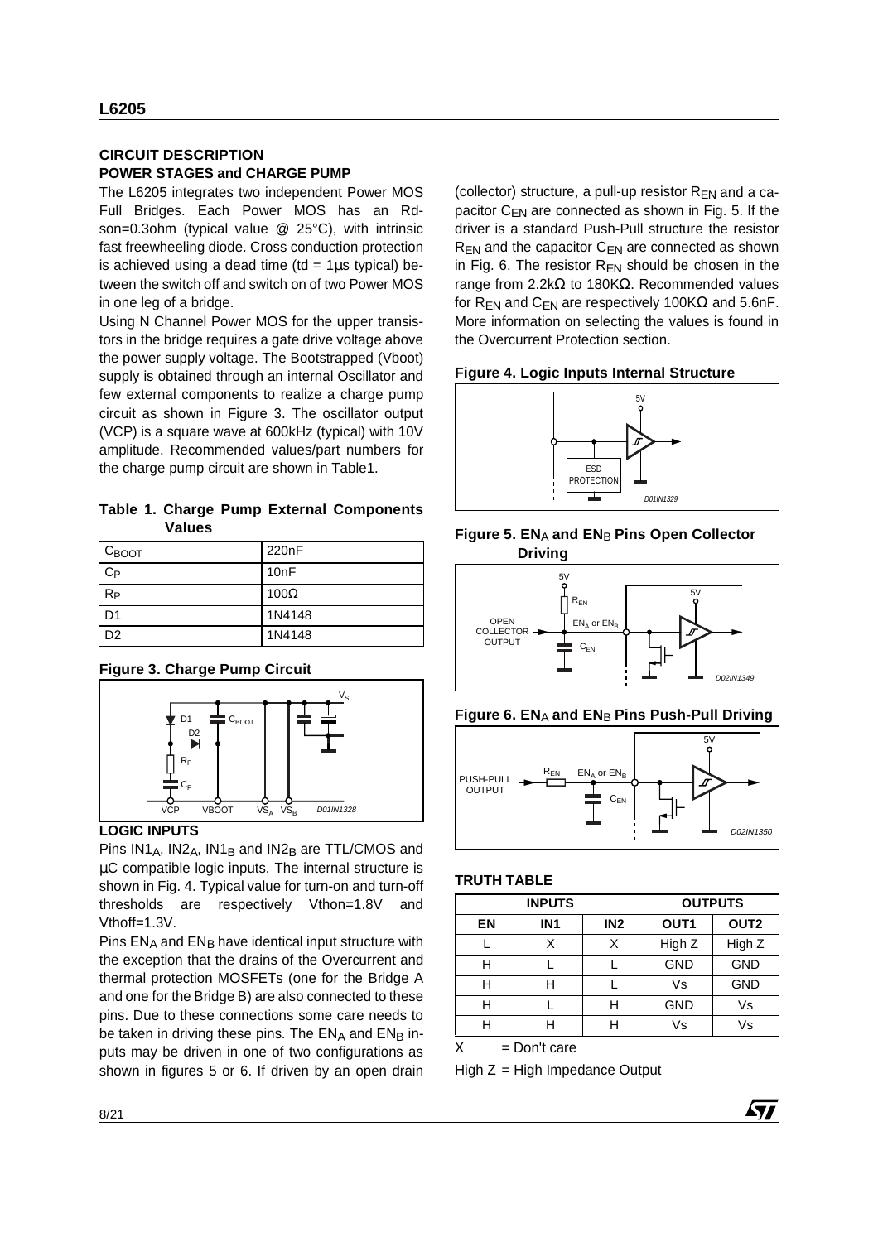## **CIRCUIT DESCRIPTION POWER STAGES and CHARGE PUMP**

The L6205 integrates two independent Power MOS Full Bridges. Each Power MOS has an Rdson=0.3ohm (typical value @ 25°C), with intrinsic fast freewheeling diode. Cross conduction protection is achieved using a dead time (td =  $1\mu s$  typical) between the switch off and switch on of two Power MOS in one leg of a bridge.

Using N Channel Power MOS for the upper transistors in the bridge requires a gate drive voltage above the power supply voltage. The Bootstrapped (Vboot) supply is obtained through an internal Oscillator and few external components to realize a charge pump circuit as shown in Figure 3. The oscillator output (VCP) is a square wave at 600kHz (typical) with 10V amplitude. Recommended values/part numbers for the charge pump circuit are shown in Table1.

**Table 1. Charge Pump External Components Values**

| $C_{\text{BOOT}}$ | 220 <sub>n</sub> F |
|-------------------|--------------------|
| $C_{P}$           | 10nF               |
| $R_{P}$           | 100 $\Omega$       |
| D <sub>1</sub>    | 1N4148             |
| D <sub>2</sub>    | 1N4148             |

#### **Figure 3. Charge Pump Circuit**



## **LOGIC INPUTS**

Pins  $IN1_A$ ,  $IN2_A$ ,  $IN1_B$  and  $IN2_B$  are TTL/CMOS and µC compatible logic inputs. The internal structure is shown in Fig. 4. Typical value for turn-on and turn-off thresholds are respectively Vthon=1.8V and Vthoff=1.3V.

Pins ENA and ENB have identical input structure with the exception that the drains of the Overcurrent and thermal protection MOSFETs (one for the Bridge A and one for the Bridge B) are also connected to these pins. Due to these connections some care needs to be taken in driving these pins. The  $EN_A$  and  $EN_B$  inputs may be driven in one of two configurations as shown in figures 5 or 6. If driven by an open drain (collector) structure, a pull-up resistor  $R_{EN}$  and a capacitor  $C_{FN}$  are connected as shown in Fig. 5. If the driver is a standard Push-Pull structure the resistor  $R_{FN}$  and the capacitor  $C_{FN}$  are connected as shown in Fig. 6. The resistor  $R_{EN}$  should be chosen in the range from 2.2kΩ to 180KΩ. Recommended values for R<sub>EN</sub> and C<sub>EN</sub> are respectively 100K $\Omega$  and 5.6nF. More information on selecting the values is found in the Overcurrent Protection section.

#### **Figure 4. Logic Inputs Internal Structure**











#### **TRUTH TABLE**

| <b>INPUTS</b> |                                    |   | <b>OUTPUTS</b>   |                  |  |
|---------------|------------------------------------|---|------------------|------------------|--|
| EN            | IN <sub>2</sub><br>IN <sub>1</sub> |   | OUT <sub>1</sub> | OUT <sub>2</sub> |  |
|               | Χ                                  | Χ | High Z           | High Z           |  |
| Н             |                                    |   | <b>GND</b>       | <b>GND</b>       |  |
|               | H                                  |   | Vs               | <b>GND</b>       |  |
|               |                                    | Н | <b>GND</b>       | Vs               |  |
|               | Н                                  |   | Vs               | Vs               |  |

57

 $X = Don't care$ 

 $High Z = High Impedance Output$ 

8/21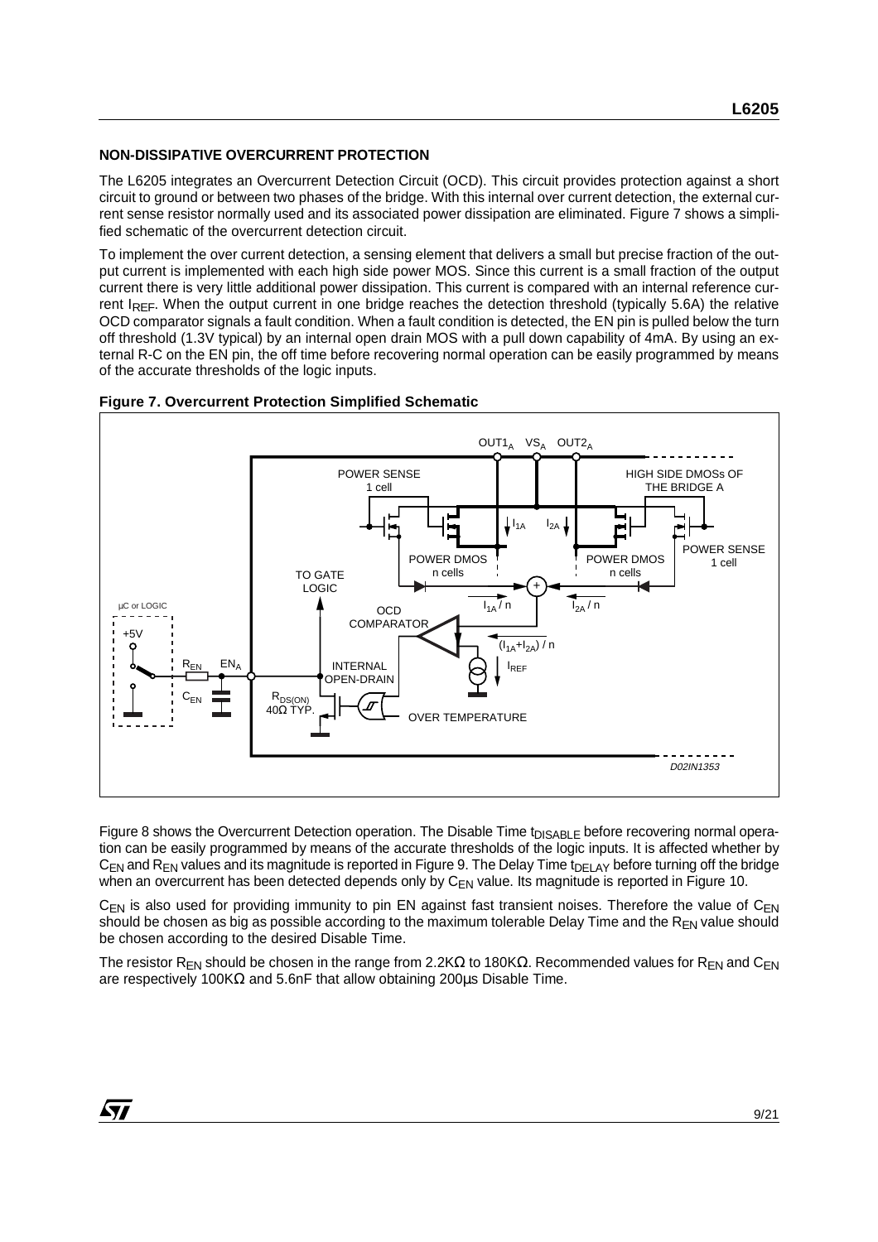## **NON-DISSIPATIVE OVERCURRENT PROTECTION**

The L6205 integrates an Overcurrent Detection Circuit (OCD). This circuit provides protection against a short circuit to ground or between two phases of the bridge. With this internal over current detection, the external current sense resistor normally used and its associated power dissipation are eliminated. Figure 7 shows a simplified schematic of the overcurrent detection circuit.

To implement the over current detection, a sensing element that delivers a small but precise fraction of the output current is implemented with each high side power MOS. Since this current is a small fraction of the output current there is very little additional power dissipation. This current is compared with an internal reference current IREF. When the output current in one bridge reaches the detection threshold (typically 5.6A) the relative OCD comparator signals a fault condition. When a fault condition is detected, the EN pin is pulled below the turn off threshold (1.3V typical) by an internal open drain MOS with a pull down capability of 4mA. By using an external R-C on the EN pin, the off time before recovering normal operation can be easily programmed by means of the accurate thresholds of the logic inputs.



#### **Figure 7. Overcurrent Protection Simplified Schematic**

Figure 8 shows the Overcurrent Detection operation. The Disable Time t<sub>DISABLE</sub> before recovering normal operation can be easily programmed by means of the accurate thresholds of the logic inputs. It is affected whether by  $C_{EN}$  and  $R_{EN}$  values and its magnitude is reported in Figure 9. The Delay Time t<sub>DELAY</sub> before turning off the bridge when an overcurrent has been detected depends only by C<sub>EN</sub> value. Its magnitude is reported in Figure 10.

 $C_{EN}$  is also used for providing immunity to pin EN against fast transient noises. Therefore the value of  $C_{EN}$ should be chosen as big as possible according to the maximum tolerable Delay Time and the  $R_{EN}$  value should be chosen according to the desired Disable Time.

The resistor R<sub>EN</sub> should be chosen in the range from 2.2KΩ to 180KΩ. Recommended values for R<sub>EN</sub> and C<sub>EN</sub> are respectively 100KΩ and 5.6nF that allow obtaining 200 $\mu$ s Disable Time.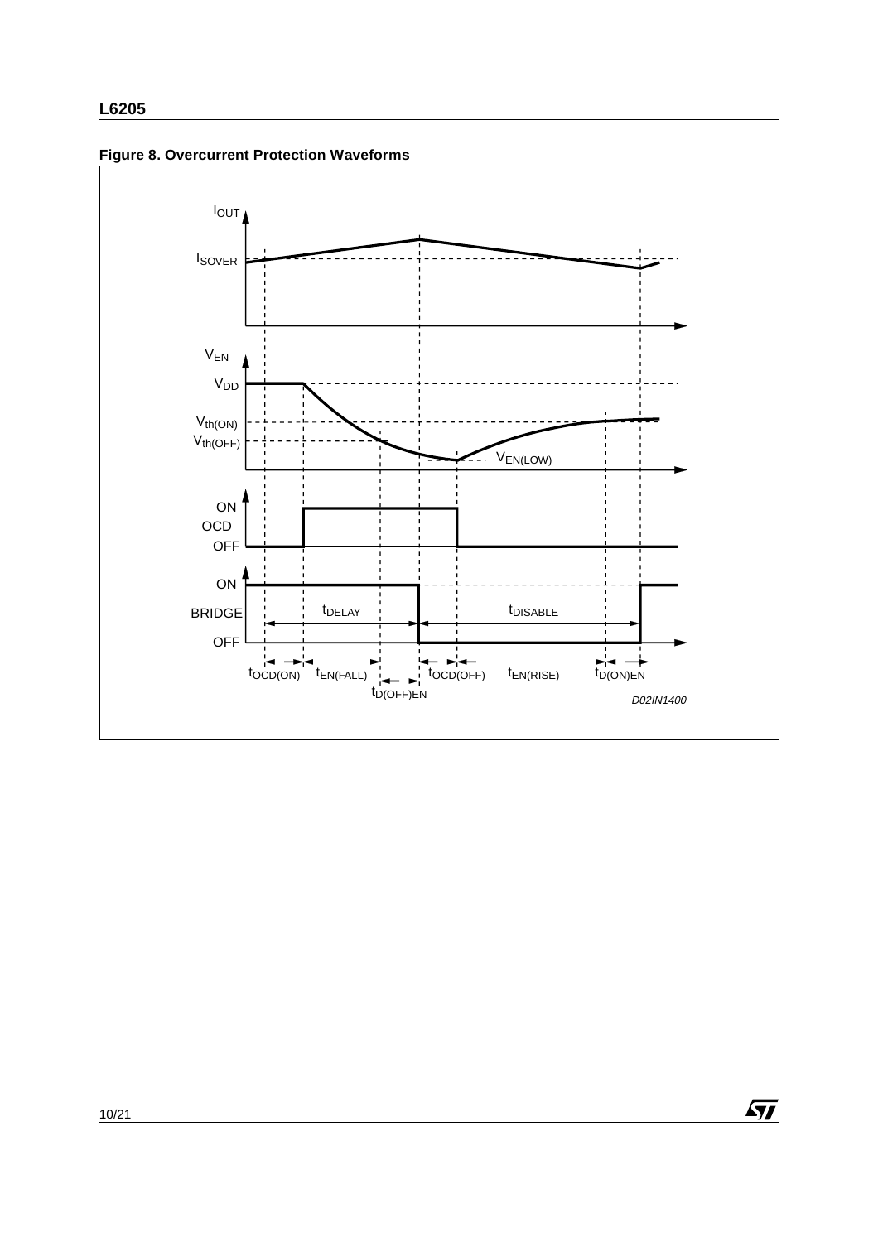



 $\sqrt{M}$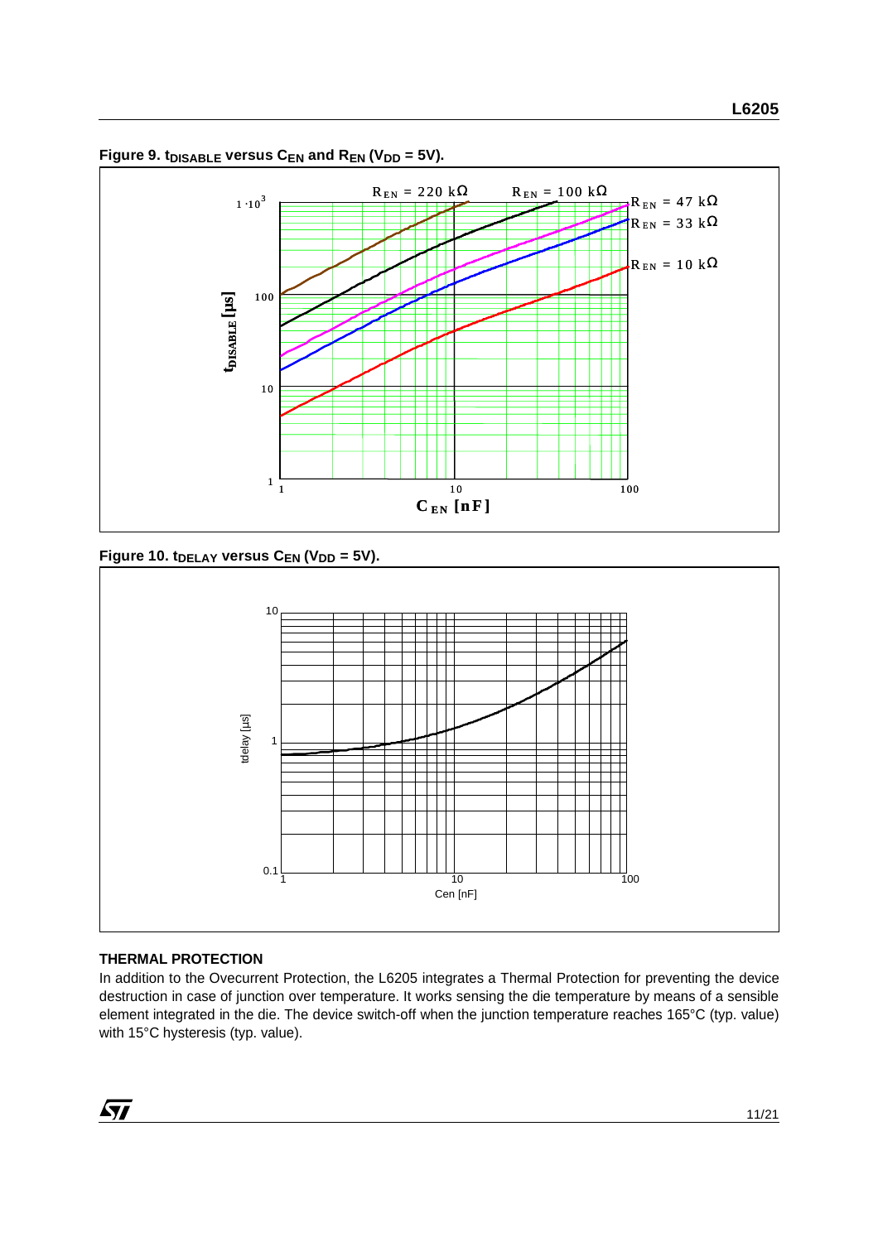

Figure 9. t<sub>DISABLE</sub> versus  $C_{EN}$  and  $R_{EN}$  (V<sub>DD</sub> = 5V).

Figure 10. t<sub>DELAY</sub> versus C<sub>EN</sub> (V<sub>DD</sub> = 5V).



## **THERMAL PROTECTION**

In addition to the Ovecurrent Protection, the L6205 integrates a Thermal Protection for preventing the device destruction in case of junction over temperature. It works sensing the die temperature by means of a sensible element integrated in the die. The device switch-off when the junction temperature reaches 165°C (typ. value) with 15°C hysteresis (typ. value).

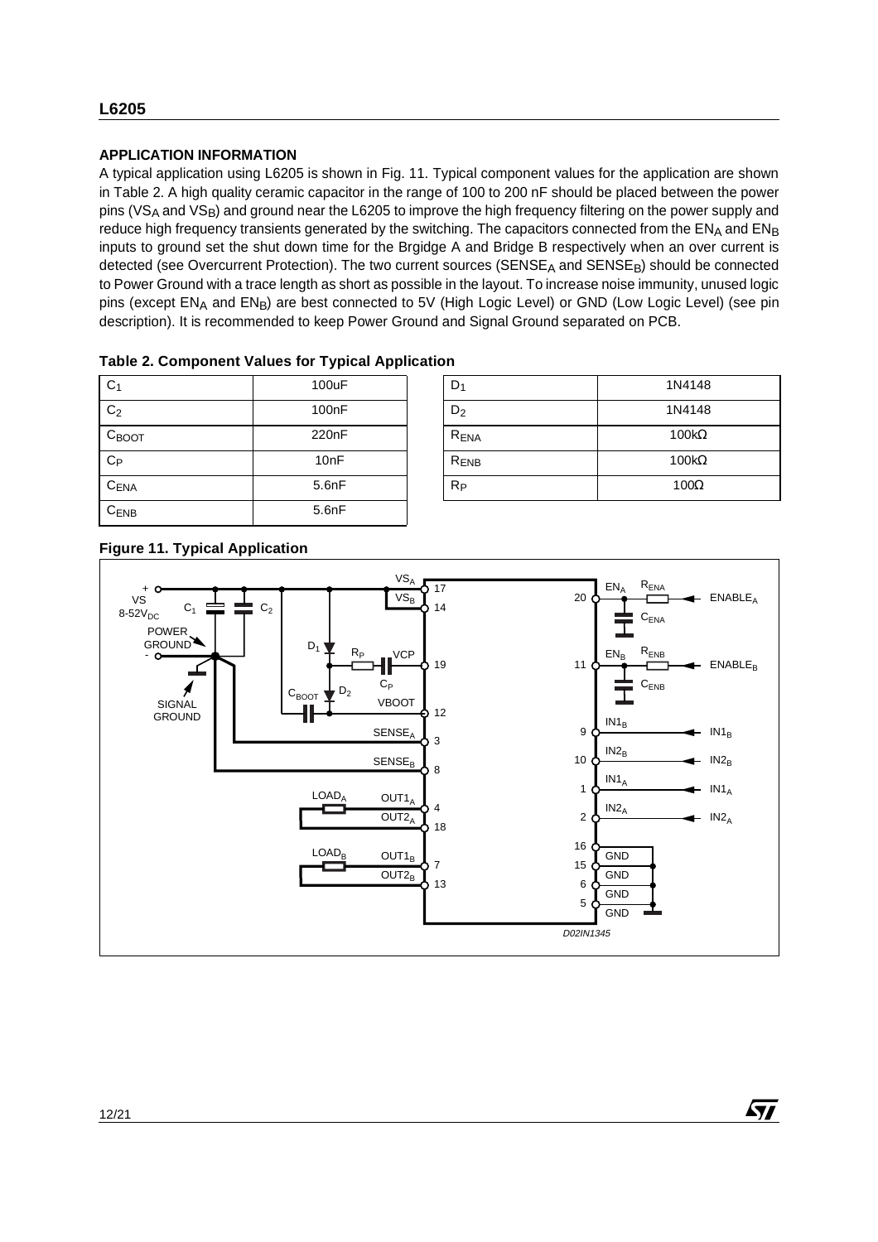## **APPLICATION INFORMATION**

A typical application using L6205 is shown in Fig. 11. Typical component values for the application are shown in Table 2. A high quality ceramic capacitor in the range of 100 to 200 nF should be placed between the power pins (VS<sub>A</sub> and VS<sub>B</sub>) and ground near the L6205 to improve the high frequency filtering on the power supply and reduce high frequency transients generated by the switching. The capacitors connected from the ENA and ENB inputs to ground set the shut down time for the Brgidge A and Bridge B respectively when an over current is detected (see Overcurrent Protection). The two current sources (SENSE<sub>A</sub> and SENSE<sub>B</sub>) should be connected to Power Ground with a trace length as short as possible in the layout. To increase noise immunity, unused logic pins (except EN<sub>A</sub> and EN<sub>B</sub>) are best connected to 5V (High Logic Level) or GND (Low Logic Level) (see pin description). It is recommended to keep Power Ground and Signal Ground separated on PCB.

| Table 2. Component Values for Typical Application |  |
|---------------------------------------------------|--|
|---------------------------------------------------|--|

| C <sub>1</sub>    | 100uF              | $D_1$            | 1N4148       |
|-------------------|--------------------|------------------|--------------|
| C <sub>2</sub>    | 100 <sub>n</sub> F | $D_2$            | 1N4148       |
| $C_{\text{BOOT}}$ | 220 <sub>n</sub> F | R <sub>ENA</sub> | $100k\Omega$ |
| $C_{P}$           | 10 <sub>nF</sub>   | R <sub>ENB</sub> | $100k\Omega$ |
| CENA              | 5.6nF              | $R_{P}$          | $100\Omega$  |
| $C_{ENB}$         | 5.6nF              |                  |              |

| D <sub>1</sub>   | 1N4148       |
|------------------|--------------|
| $D_2$            | 1N4148       |
| R <sub>ENA</sub> | $100k\Omega$ |
| R <sub>ENB</sub> | $100k\Omega$ |
| $R_{P}$          | $100\Omega$  |

57

# **Figure 11. Typical Application**

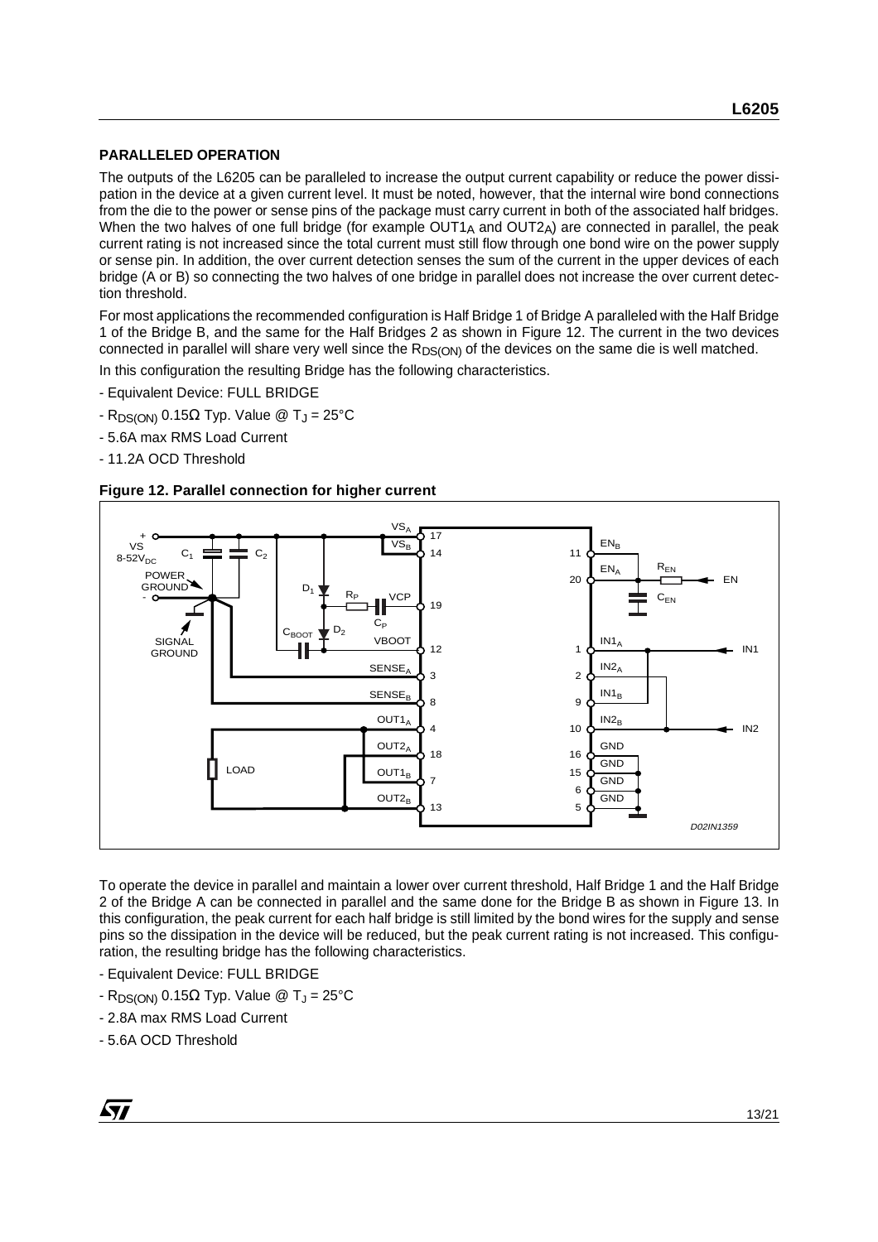## **PARALLELED OPERATION**

The outputs of the L6205 can be paralleled to increase the output current capability or reduce the power dissipation in the device at a given current level. It must be noted, however, that the internal wire bond connections from the die to the power or sense pins of the package must carry current in both of the associated half bridges. When the two halves of one full bridge (for example  $OUT1_A$  and  $OUT2_A)$  are connected in parallel, the peak current rating is not increased since the total current must still flow through one bond wire on the power supply or sense pin. In addition, the over current detection senses the sum of the current in the upper devices of each bridge (A or B) so connecting the two halves of one bridge in parallel does not increase the over current detection threshold.

For most applications the recommended configuration is Half Bridge 1 of Bridge A paralleled with the Half Bridge 1 of the Bridge B, and the same for the Half Bridges 2 as shown in Figure 12. The current in the two devices connected in parallel will share very well since the R<sub>DS(ON)</sub> of the devices on the same die is well matched.

In this configuration the resulting Bridge has the following characteristics.

- Equivalent Device: FULL BRIDGE
- R<sub>DS(ON)</sub> 0.15Ω Typ. Value @ T<sub>J</sub> = 25°C
- 5.6A max RMS Load Current
- 11.2A OCD Threshold





To operate the device in parallel and maintain a lower over current threshold, Half Bridge 1 and the Half Bridge 2 of the Bridge A can be connected in parallel and the same done for the Bridge B as shown in Figure 13. In this configuration, the peak current for each half bridge is still limited by the bond wires for the supply and sense pins so the dissipation in the device will be reduced, but the peak current rating is not increased. This configuration, the resulting bridge has the following characteristics.

- Equivalent Device: FULL BRIDGE
- $-R_{DS(ON)}$  0.15Ω Typ. Value @ T<sub>J</sub> = 25°C
- 2.8A max RMS Load Current
- 5.6A OCD Threshold

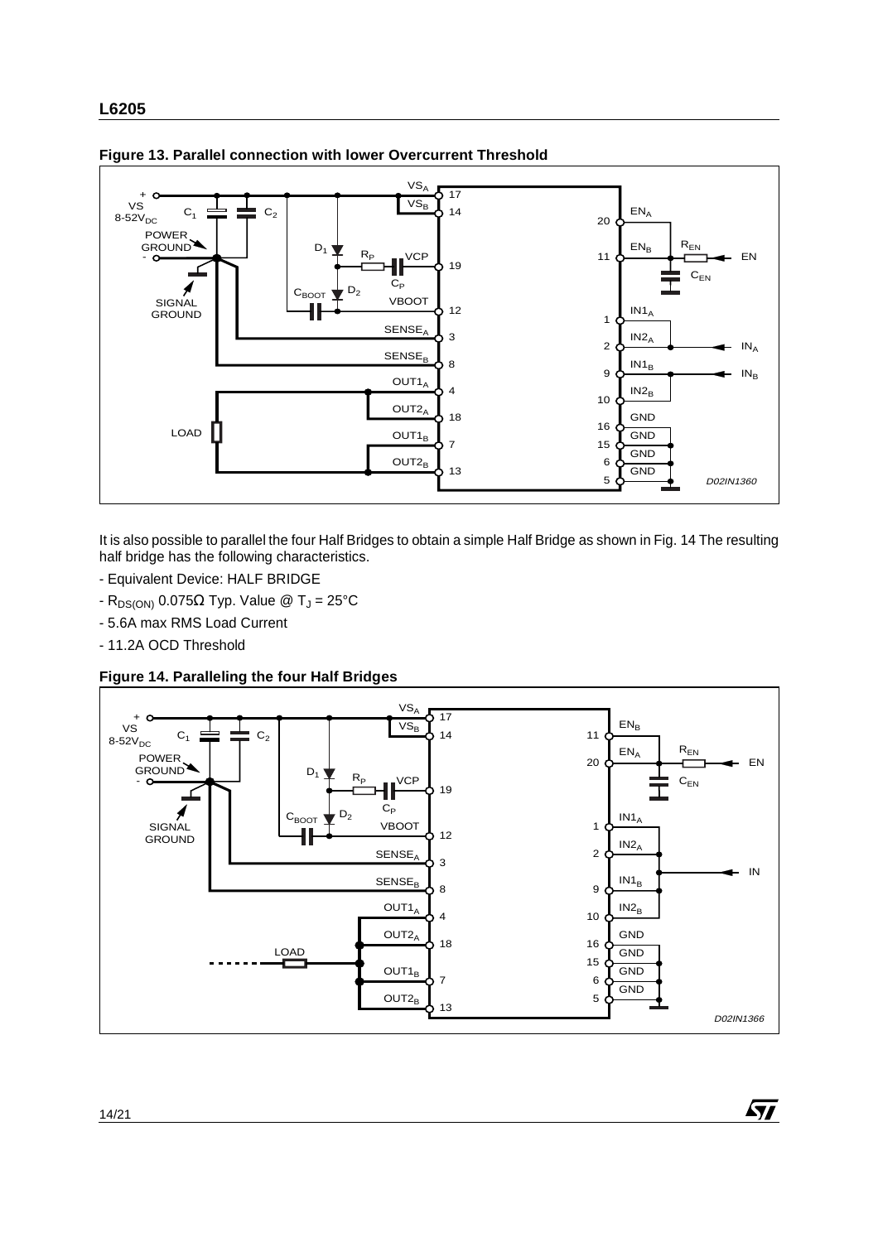

**Figure 13. Parallel connection with lower Overcurrent Threshold**

It is also possible to parallel the four Half Bridges to obtain a simple Half Bridge as shown in Fig. 14 The resulting half bridge has the following characteristics.

- Equivalent Device: HALF BRIDGE
- R<sub>DS(ON)</sub> 0.075Ω Typ. Value @ T<sub>J</sub> = 25°C
- 5.6A max RMS Load Current
- 11.2A OCD Threshold

**Figure 14. Paralleling the four Half Bridges**



 $\sqrt{2}$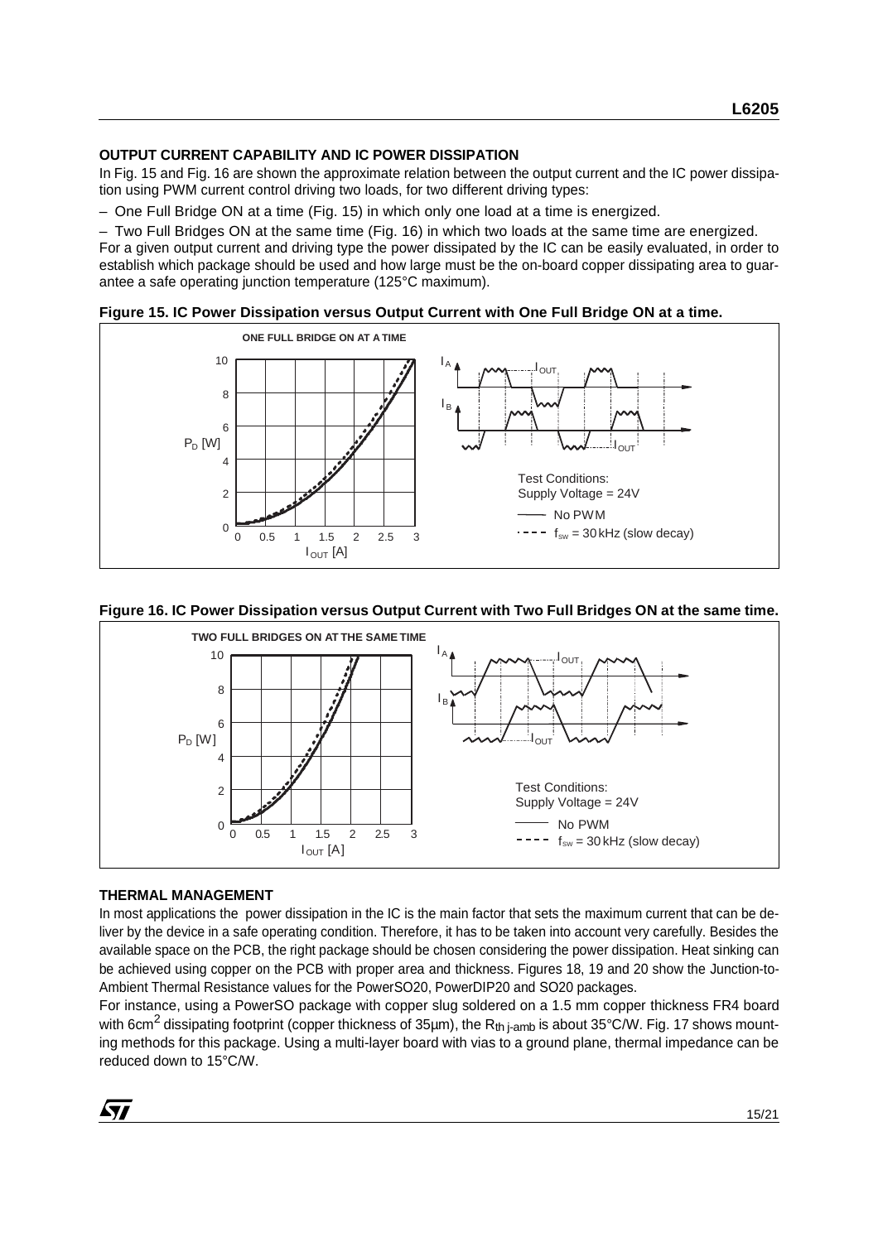### **OUTPUT CURRENT CAPABILITY AND IC POWER DISSIPATION**

In Fig. 15 and Fig. 16 are shown the approximate relation between the output current and the IC power dissipation using PWM current control driving two loads, for two different driving types:

– One Full Bridge ON at a time (Fig. 15) in which only one load at a time is energized.

– Two Full Bridges ON at the same time (Fig. 16) in which two loads at the same time are energized. For a given output current and driving type the power dissipated by the IC can be easily evaluated, in order to establish which package should be used and how large must be the on-board copper dissipating area to guarantee a safe operating junction temperature (125°C maximum).





#### **Figure 16. IC Power Dissipation versus Output Current with Two Full Bridges ON at the same time.**



#### **THERMAL MANAGEMENT**

In most applications the power dissipation in the IC is the main factor that sets the maximum current that can be deliver by the device in a safe operating condition. Therefore, it has to be taken into account very carefully. Besides the available space on the PCB, the right package should be chosen considering the power dissipation. Heat sinking can be achieved using copper on the PCB with proper area and thickness. Figures 18, 19 and 20 show the Junction-to-Ambient Thermal Resistance values for the PowerSO20, PowerDIP20 and SO20 packages.

For instance, using a PowerSO package with copper slug soldered on a 1.5 mm copper thickness FR4 board with 6cm<sup>2</sup> dissipating footprint (copper thickness of 35µm), the R<sub>th i-amb</sub> is about 35°C/W. Fig. 17 shows mounting methods for this package. Using a multi-layer board with vias to a ground plane, thermal impedance can be reduced down to 15°C/W.

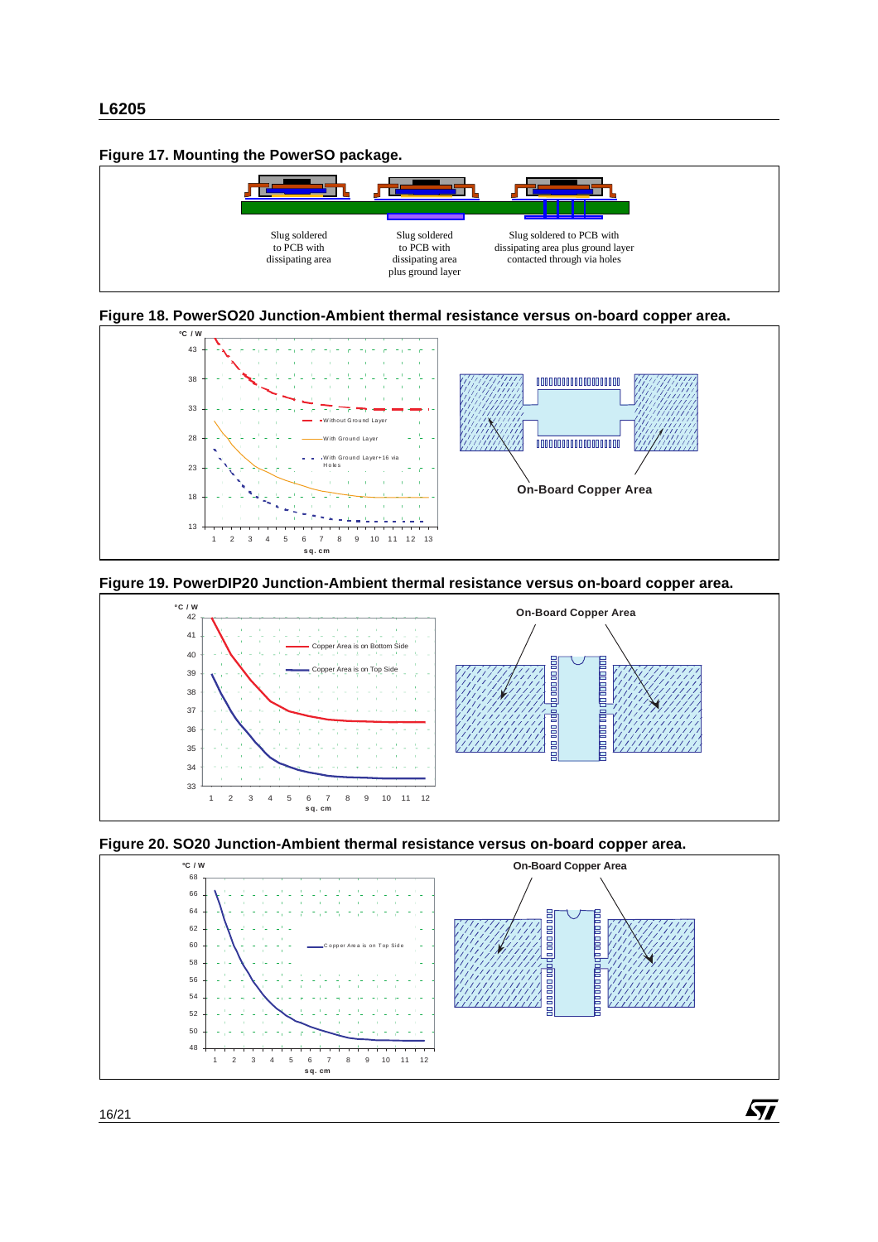#### **Figure 17. Mounting the PowerSO package.**















 $\sqrt{2}$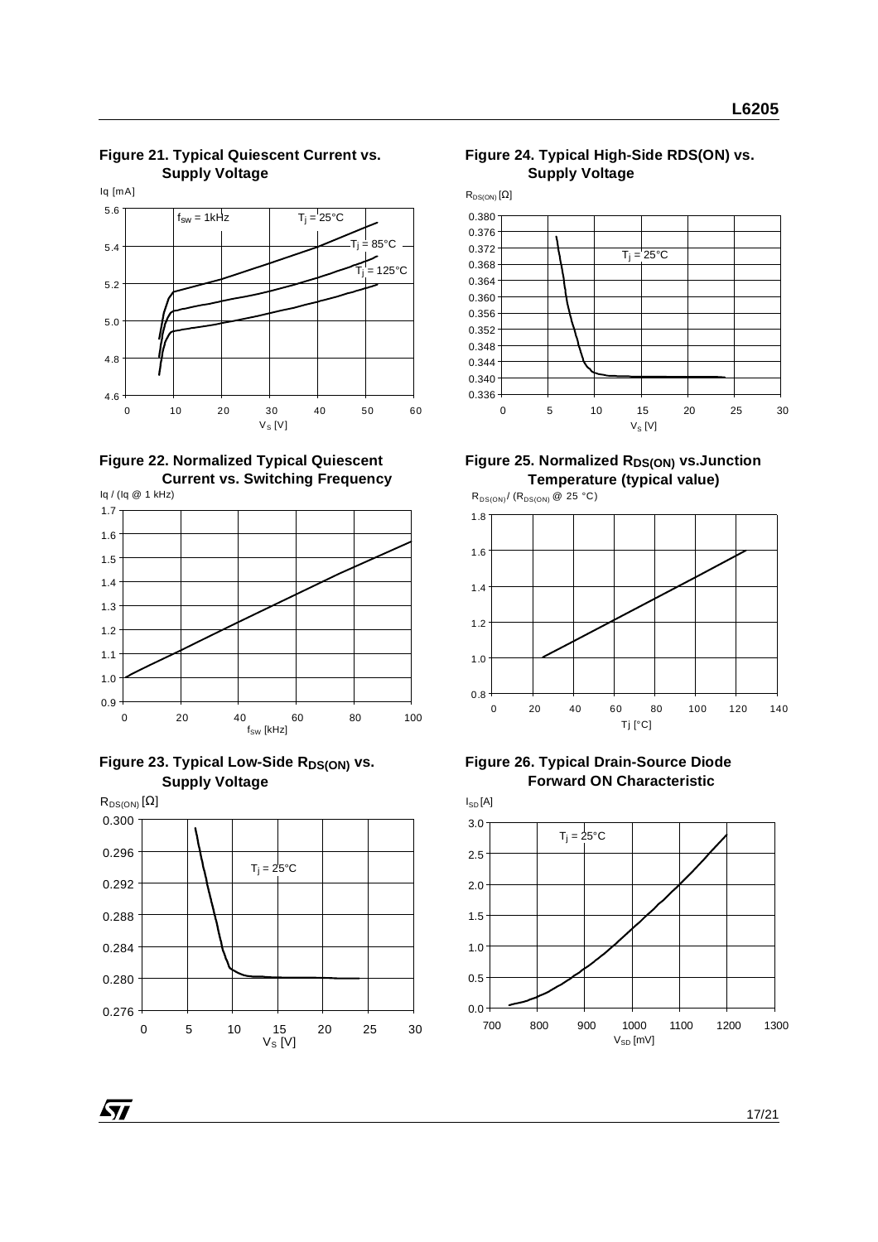4.6 4.8 5.0 5.2 5.4 5.6 0 10 20 30 40 50 60 Iq [mA]  $V_S$  [V]  $f_{sw} = 1$ kHz  $T_i = 25^{\circ}$ C  $.85^{\circ}$ C \_<br>= 125°C















**Figure 25. Normalized RDS(ON) vs. Junction Temperature (typical value)**





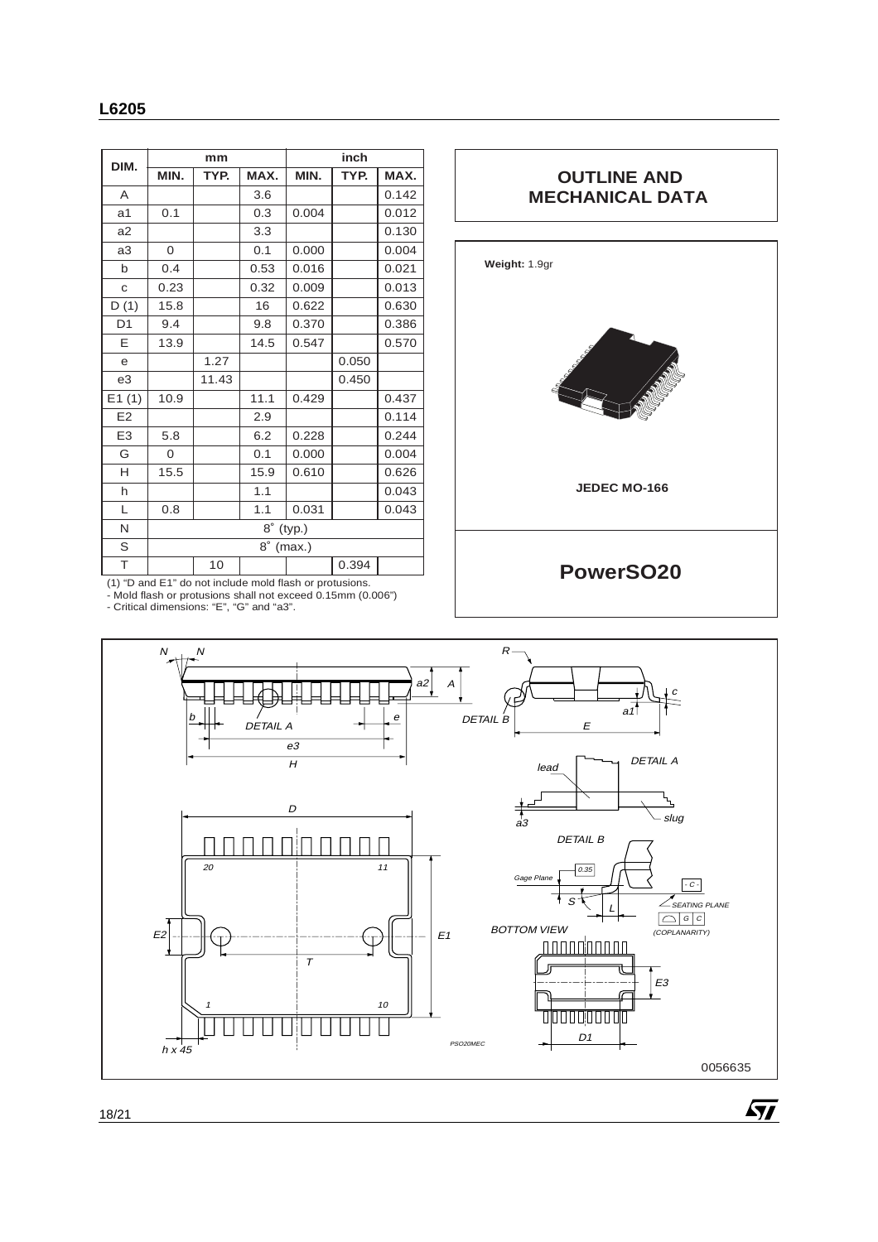| DIM.           | mm           |       | inch |       |       |       |
|----------------|--------------|-------|------|-------|-------|-------|
|                | MIN.         | TYP.  | MAX. | MIN.  | TYP.  | MAX.  |
| A              |              |       | 3.6  |       |       | 0.142 |
| a <sub>1</sub> | 0.1          |       | 0.3  | 0.004 |       | 0.012 |
| a2             |              |       | 3.3  |       |       | 0.130 |
| a3             | 0            |       | 0.1  | 0.000 |       | 0.004 |
| b              | 0.4          |       | 0.53 | 0.016 |       | 0.021 |
| $\mathbf{C}$   | 0.23         |       | 0.32 | 0.009 |       | 0.013 |
| D(1)           | 15.8         |       | 16   | 0.622 |       | 0.630 |
| D <sub>1</sub> | 9.4          |       | 9.8  | 0.370 |       | 0.386 |
| E              | 13.9         |       | 14.5 | 0.547 |       | 0.570 |
| e              |              | 1.27  |      |       | 0.050 |       |
| e3             |              | 11.43 |      |       | 0.450 |       |
| E1(1)          | 10.9         |       | 11.1 | 0.429 |       | 0.437 |
| E <sub>2</sub> |              |       | 2.9  |       |       | 0.114 |
| E <sub>3</sub> | 5.8          |       | 6.2  | 0.228 |       | 0.244 |
| G              | $\Omega$     |       | 0.1  | 0.000 |       | 0.004 |
| H              | 15.5         |       | 15.9 | 0.610 |       | 0.626 |
| h              |              |       | 1.1  |       |       | 0.043 |
| L              | 0.8          |       | 1.1  | 0.031 |       | 0.043 |
| N              | 8°<br>(typ.) |       |      |       |       |       |
| S              | 8°<br>(max.) |       |      |       |       |       |
| T              |              | 10    |      |       | 0.394 |       |

# **OUTLINE AND MECHANICAL DATA**



(1) "D and E1" do not include mold flash or protusions. - Mold flash or protusions shall not exceed 0.15mm (0.006") - Critical dimensions: "E", "G" and "a3".

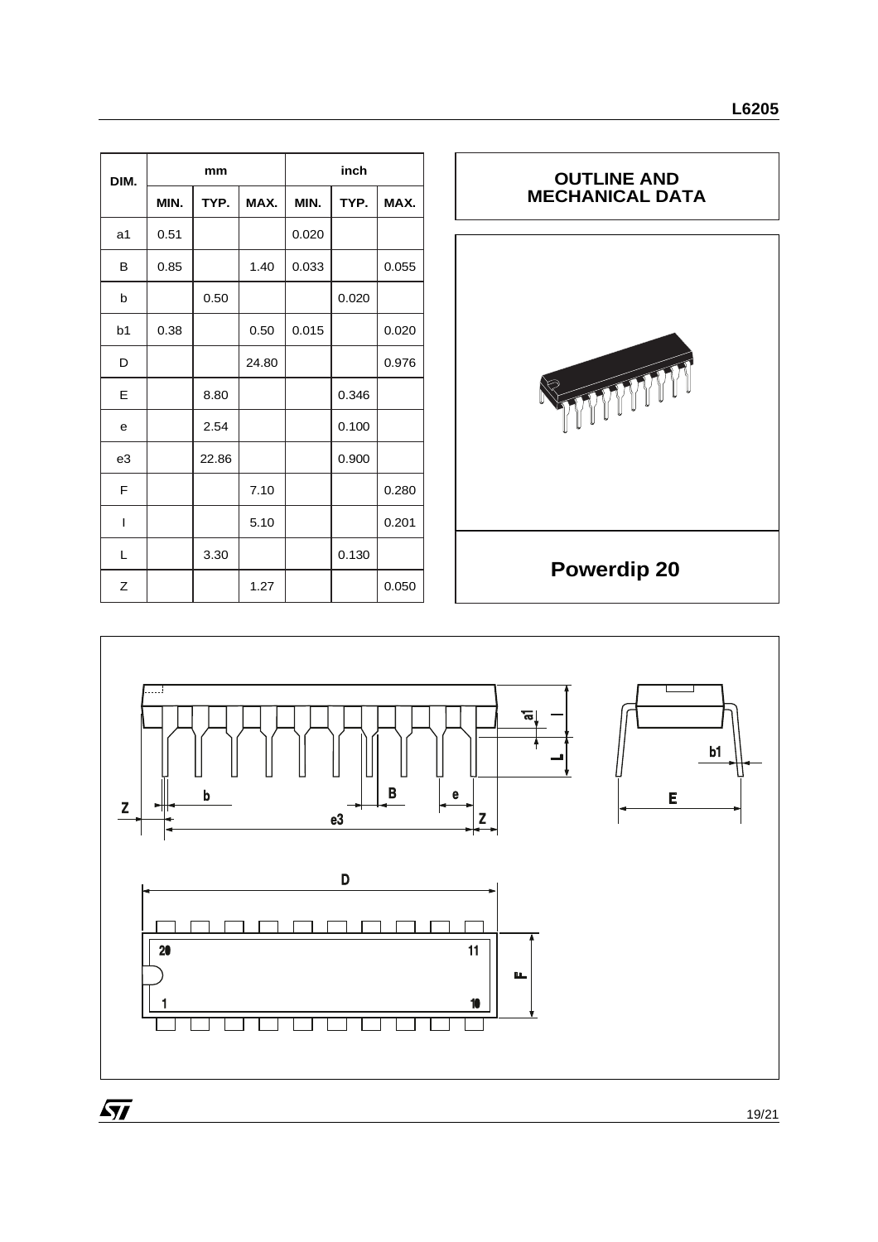| DIM.           | mm   |       |       | inch  |       |       |
|----------------|------|-------|-------|-------|-------|-------|
|                | MIN. | TYP.  | MAX.  | MIN.  | TYP.  | MAX.  |
| a1             | 0.51 |       |       | 0.020 |       |       |
| B              | 0.85 |       | 1.40  | 0.033 |       | 0.055 |
| b              |      | 0.50  |       |       | 0.020 |       |
| b <sub>1</sub> | 0.38 |       | 0.50  | 0.015 |       | 0.020 |
| D              |      |       | 24.80 |       |       | 0.976 |
| E              |      | 8.80  |       |       | 0.346 |       |
| e              |      | 2.54  |       |       | 0.100 |       |
| e3             |      | 22.86 |       |       | 0.900 |       |
| F              |      |       | 7.10  |       |       | 0.280 |
| T              |      |       | 5.10  |       |       | 0.201 |
| L              |      | 3.30  |       |       | 0.130 |       |
| Ζ              |      |       | 1.27  |       |       | 0.050 |



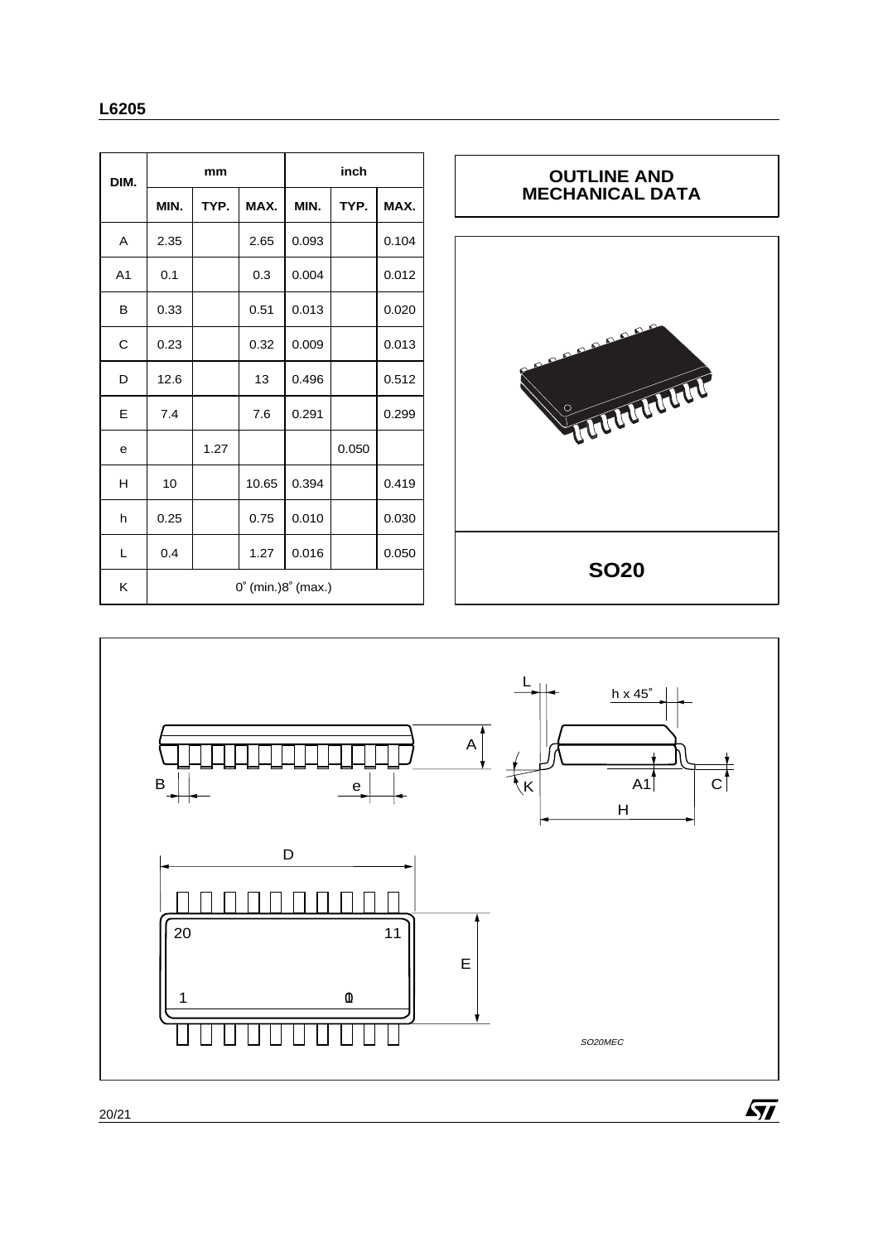| DIM.           | mm                                    |      | inch  |       |       |       |
|----------------|---------------------------------------|------|-------|-------|-------|-------|
|                | MIN.                                  | TYP. | MAX.  | MIN.  | TYP.  | MAX.  |
| A              | 2.35                                  |      | 2.65  | 0.093 |       | 0.104 |
| A <sub>1</sub> | 0.1                                   |      | 0.3   | 0.004 |       | 0.012 |
| В              | 0.33                                  |      | 0.51  | 0.013 |       | 0.020 |
| C              | 0.23                                  |      | 0.32  | 0.009 |       | 0.013 |
| D              | 12.6                                  |      | 13    | 0.496 |       | 0.512 |
| E              | 7.4                                   |      | 7.6   | 0.291 |       | 0.299 |
| e              |                                       | 1.27 |       |       | 0.050 |       |
| н              | 10                                    |      | 10.65 | 0.394 |       | 0.419 |
| h              | 0.25                                  |      | 0.75  | 0.010 |       | 0.030 |
| L              | 0.4                                   |      | 1.27  | 0.016 |       | 0.050 |
| Κ              | $0^{\circ}$ (min.) $8^{\circ}$ (max.) |      |       |       |       |       |





20/21